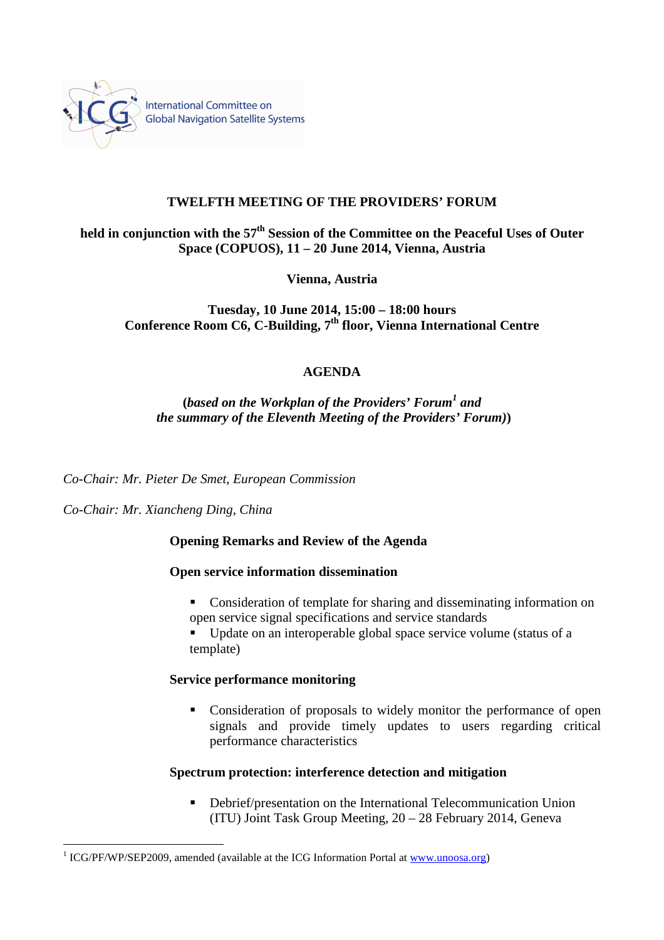

## **TWELFTH MEETING OF THE PROVIDERS' FORUM**

# **held in conjunction with the 57th Session of the Committee on the Peaceful Uses of Outer Space (COPUOS), 11 – 20 June 2014, Vienna, Austria**

**Vienna, Austria** 

**Tuesday, 10 June 2014, 15:00 – 18:00 hours Conference Room C6, C-Building, 7th floor, Vienna International Centre** 

## **AGENDA**

**(***based on the Workplan of the Providers' Forum<sup>1</sup> and the summary of the Eleventh Meeting of the Providers' Forum)***)** 

*Co-Chair: Mr. Pieter De Smet, European Commission* 

*Co-Chair: Mr. Xiancheng Ding, China* 

 $\overline{a}$ 

#### **Opening Remarks and Review of the Agenda**

#### **Open service information dissemination**

- Consideration of template for sharing and disseminating information on open service signal specifications and service standards
- Update on an interoperable global space service volume (status of a template)

#### **Service performance monitoring**

• Consideration of proposals to widely monitor the performance of open signals and provide timely updates to users regarding critical performance characteristics

#### **Spectrum protection: interference detection and mitigation**

■ Debrief/presentation on the International Telecommunication Union (ITU) Joint Task Group Meeting, 20 – 28 February 2014, Geneva

<sup>&</sup>lt;sup>1</sup> ICG/PF/WP/SEP2009, amended (available at the ICG Information Portal at www.unoosa.org)